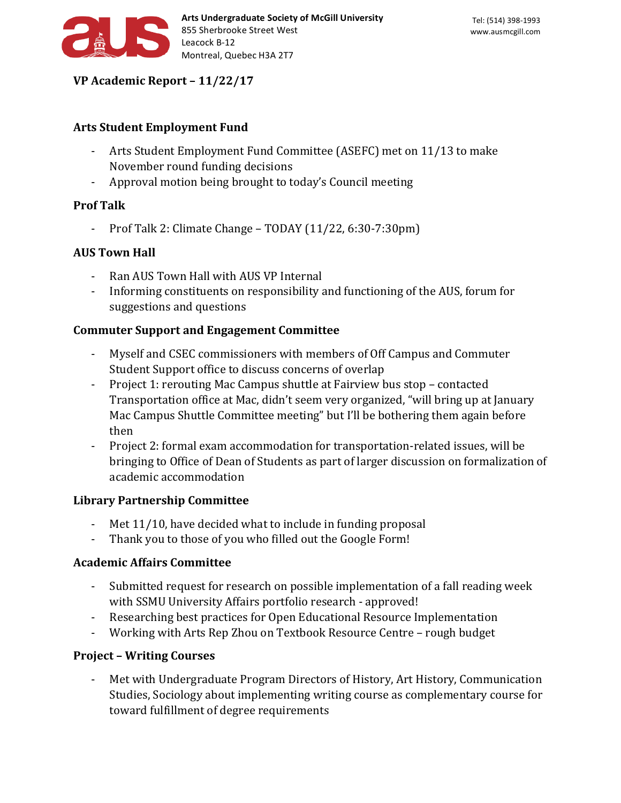

**VP Academic Report – 11/22/17**

## **Arts Student Employment Fund**

- Arts Student Employment Fund Committee (ASEFC) met on 11/13 to make November round funding decisions
- Approval motion being brought to today's Council meeting

## **Prof Talk**

Prof Talk 2: Climate Change – TODAY (11/22, 6:30-7:30pm)

### **AUS Town Hall**

- Ran AUS Town Hall with AUS VP Internal
- Informing constituents on responsibility and functioning of the AUS, forum for suggestions and questions

### **Commuter Support and Engagement Committee**

- Myself and CSEC commissioners with members of Off Campus and Commuter Student Support office to discuss concerns of overlap
- Project 1: rerouting Mac Campus shuttle at Fairview bus stop contacted Transportation office at Mac, didn't seem very organized, "will bring up at January Mac Campus Shuttle Committee meeting" but I'll be bothering them again before then
- Project 2: formal exam accommodation for transportation-related issues, will be bringing to Office of Dean of Students as part of larger discussion on formalization of academic accommodation

### **Library Partnership Committee**

- Met  $11/10$ , have decided what to include in funding proposal
- Thank you to those of you who filled out the Google Form!

### **Academic Affairs Committee**

- Submitted request for research on possible implementation of a fall reading week with SSMU University Affairs portfolio research - approved!
- Researching best practices for Open Educational Resource Implementation
- Working with Arts Rep Zhou on Textbook Resource Centre rough budget

# **Project – Writing Courses**

Met with Undergraduate Program Directors of History, Art History, Communication Studies, Sociology about implementing writing course as complementary course for toward fulfillment of degree requirements